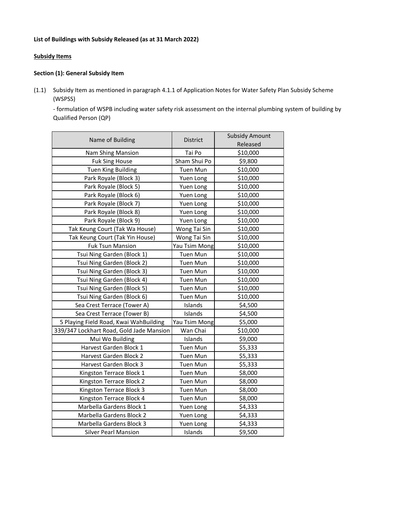## **List of Buildings with Subsidy Released (as at 31 March 2022)**

## **Subsidy Items**

## **Section (1): General Subsidy Item**

(1.1) Subsidy Item as mentioned in paragraph 4.1.1 of Application Notes for Water Safety Plan Subsidy Scheme (WSPSS)

- formulation of WSPB including water safety risk assessment on the internal plumbing system of building by Qualified Person (QP)

| Name of Building                         | District        | <b>Subsidy Amount</b> |
|------------------------------------------|-----------------|-----------------------|
|                                          |                 | Released              |
| <b>Nam Shing Mansion</b>                 | Tai Po          | \$10,000              |
| <b>Fuk Sing House</b>                    | Sham Shui Po    | \$9,800               |
| <b>Tuen King Building</b>                | Tuen Mun        | \$10,000              |
| Park Royale (Block 3)                    | Yuen Long       | \$10,000              |
| Park Royale (Block 5)                    | Yuen Long       | \$10,000              |
| Park Royale (Block 6)                    | Yuen Long       | \$10,000              |
| Park Royale (Block 7)                    | Yuen Long       | \$10,000              |
| Park Royale (Block 8)                    | Yuen Long       | \$10,000              |
| Park Royale (Block 9)                    | Yuen Long       | \$10,000              |
| Tak Keung Court (Tak Wa House)           | Wong Tai Sin    | \$10,000              |
| Tak Keung Court (Tak Yin House)          | Wong Tai Sin    | \$10,000              |
| <b>Fuk Tsun Mansion</b>                  | Yau Tsim Mong   | \$10,000              |
| Tsui Ning Garden (Block 1)               | <b>Tuen Mun</b> | \$10,000              |
| Tsui Ning Garden (Block 2)               | Tuen Mun        | \$10,000              |
| Tsui Ning Garden (Block 3)               | Tuen Mun        | \$10,000              |
| Tsui Ning Garden (Block 4)               | Tuen Mun        | \$10,000              |
| Tsui Ning Garden (Block 5)               | Tuen Mun        | \$10,000              |
| Tsui Ning Garden (Block 6)               | Tuen Mun        | \$10,000              |
| Sea Crest Terrace (Tower A)              | Islands         | \$4,500               |
| Sea Crest Terrace (Tower B)              | Islands         | \$4,500               |
| 5 Playing Field Road, Kwai WahBuilding   | Yau Tsim Mong   | \$5,000               |
| 339/347 Lockhart Road, Gold Jade Mansion | Wan Chai        | \$10,000              |
| Mui Wo Building                          | Islands         | \$9,000               |
| Harvest Garden Block 1                   | Tuen Mun        | \$5,333               |
| Harvest Garden Block 2                   | Tuen Mun        | \$5,333               |
| Harvest Garden Block 3                   | Tuen Mun        | \$5,333               |
| Kingston Terrace Block 1                 | Tuen Mun        | \$8,000               |
| Kingston Terrace Block 2                 | Tuen Mun        | \$8,000               |
| Kingston Terrace Block 3                 | Tuen Mun        | \$8,000               |
| Kingston Terrace Block 4                 | Tuen Mun        | \$8,000               |
| Marbella Gardens Block 1                 | Yuen Long       | \$4,333               |
| Marbella Gardens Block 2                 | Yuen Long       | \$4,333               |
| Marbella Gardens Block 3                 | Yuen Long       | \$4,333               |
| <b>Silver Pearl Mansion</b>              | Islands         | \$9,500               |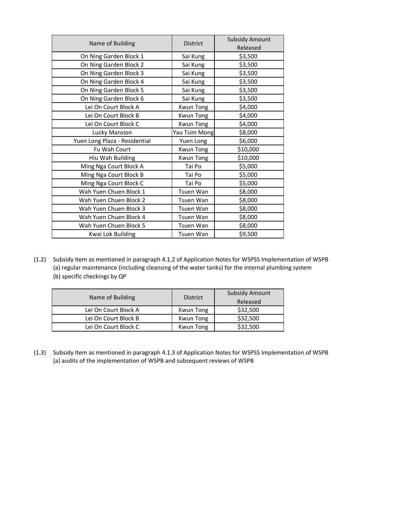| Name of Building              | <b>District</b>  | <b>Subsidy Amount</b> |
|-------------------------------|------------------|-----------------------|
|                               |                  | Released              |
| On Ning Garden Block 1        | Sai Kung         | \$3,500               |
| On Ning Garden Block 2        | Sai Kung         | \$3,500               |
| On Ning Garden Block 3        | Sai Kung         | \$3,500               |
| On Ning Garden Block 4        | Sai Kung         | \$3,500               |
| On Ning Garden Block 5        | Sai Kung         | \$3,500               |
| On Ning Garden Block 6        | Sai Kung         | \$3,500               |
| Lei On Court Block A          | <b>Kwun Tong</b> | \$4,000               |
| Lei On Court Block B          | <b>Kwun Tong</b> | \$4,000               |
| Lei On Court Block C          | <b>Kwun Tong</b> | \$4,000               |
| <b>Lucky Mansion</b>          | Yau Tsim Mong    | \$8,000               |
| Yuen Long Plaza - Residential | Yuen Long        | \$6,000               |
| Fu Wah Court                  | <b>Kwun Tong</b> | \$10,000              |
| Hiu Wah Building              | <b>Kwun Tong</b> | \$10,000              |
| Ming Nga Court Block A        | Tai Po           | \$5,000               |
| Ming Nga Court Block B        | Tai Po           | \$5,000               |
| Ming Nga Court Block C        | Tai Po           | \$5,000               |
| Wah Yuen Chuen Block 1        | Tsuen Wan        | \$8,000               |
| Wah Yuen Chuen Block 2        | Tsuen Wan        | \$8,000               |
| Wah Yuen Chuen Block 3        | Tsuen Wan        | \$8,000               |
| Wah Yuen Chuen Block 4        | Tsuen Wan        | \$8,000               |
| Wah Yuen Chuen Block 5        | Tsuen Wan        | \$8,000               |
| Kwai Lok Building             | Tsuen Wan        | \$9,500               |

(1.2) Subsidy Item as mentioned in paragraph 4.1.2 of Application Notes for WSPSS Implementation of WSPB (a) regular maintenance (including cleansing of the water tanks) for the internal plumbing system (b) specific checkings by QP

| Name of Building     | <b>District</b> | <b>Subsidy Amount</b> |
|----------------------|-----------------|-----------------------|
|                      |                 | Released              |
| Lei On Court Block A | Kwun Tong       | \$32,500              |
| Lei On Court Block B | Kwun Tong       | \$32,500              |
| Lei On Court Block C | Kwun Tong       | \$32,500              |

(1.3) Subsidy Item as mentioned in paragraph 4.1.3 of Application Notes for WSPSS Implementation of WSPB (a) audits of the implementation of WSPB and subsequent reviews of WSPB